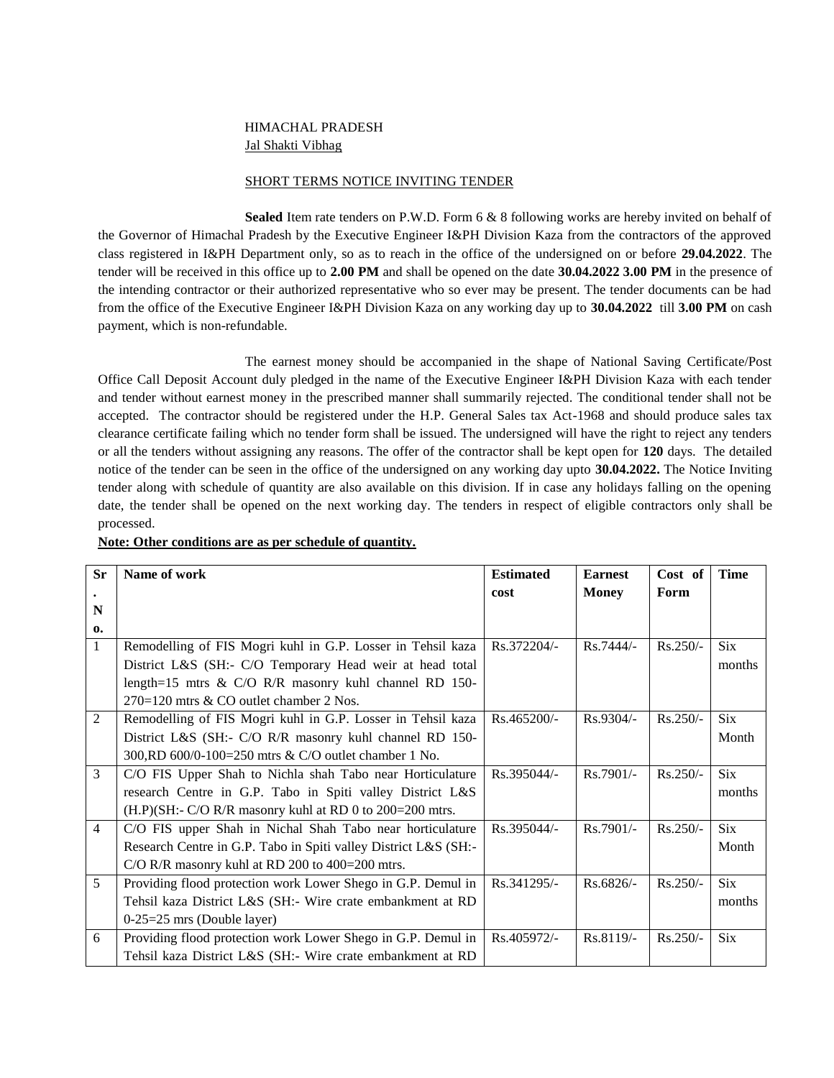# HIMACHAL PRADESH Jal Shakti Vibhag

### SHORT TERMS NOTICE INVITING TENDER

**Sealed** Item rate tenders on P.W.D. Form 6 & 8 following works are hereby invited on behalf of the Governor of Himachal Pradesh by the Executive Engineer I&PH Division Kaza from the contractors of the approved class registered in I&PH Department only, so as to reach in the office of the undersigned on or before **29.04.2022**. The tender will be received in this office up to **2.00 PM** and shall be opened on the date **30.04.2022 3.00 PM** in the presence of the intending contractor or their authorized representative who so ever may be present. The tender documents can be had from the office of the Executive Engineer I&PH Division Kaza on any working day up to **30.04.2022** till **3.00 PM** on cash payment, which is non-refundable.

The earnest money should be accompanied in the shape of National Saving Certificate/Post Office Call Deposit Account duly pledged in the name of the Executive Engineer I&PH Division Kaza with each tender and tender without earnest money in the prescribed manner shall summarily rejected. The conditional tender shall not be accepted. The contractor should be registered under the H.P. General Sales tax Act-1968 and should produce sales tax clearance certificate failing which no tender form shall be issued. The undersigned will have the right to reject any tenders or all the tenders without assigning any reasons. The offer of the contractor shall be kept open for **120** days. The detailed notice of the tender can be seen in the office of the undersigned on any working day upto **30.04.2022.** The Notice Inviting tender along with schedule of quantity are also available on this division. If in case any holidays falling on the opening date, the tender shall be opened on the next working day. The tenders in respect of eligible contractors only shall be processed.

|  | Note: Other conditions are as per schedule of quantity. |  |  |  |  |
|--|---------------------------------------------------------|--|--|--|--|
|  |                                                         |  |  |  |  |

| <b>Sr</b>      | Name of work                                                    | <b>Estimated</b> | <b>Earnest</b> | Cost of    | <b>Time</b> |
|----------------|-----------------------------------------------------------------|------------------|----------------|------------|-------------|
|                |                                                                 | cost             | <b>Money</b>   | Form       |             |
| N              |                                                                 |                  |                |            |             |
| $\mathbf{0}$   |                                                                 |                  |                |            |             |
| 1              | Remodelling of FIS Mogri kuhl in G.P. Losser in Tehsil kaza     | Rs.372204/-      | $Rs.7444/-$    | $Rs.250/-$ | <b>Six</b>  |
|                | District L&S (SH:- C/O Temporary Head weir at head total        |                  |                |            | months      |
|                | length=15 mtrs & C/O R/R masonry kuhl channel RD 150-           |                  |                |            |             |
|                | 270=120 mtrs & CO outlet chamber 2 Nos.                         |                  |                |            |             |
| 2              | Remodelling of FIS Mogri kuhl in G.P. Losser in Tehsil kaza     | Rs.465200/-      | $Rs.9304/-$    | $Rs.250/-$ | <b>Six</b>  |
|                | District L&S (SH:- C/O R/R masonry kuhl channel RD 150-         |                  |                |            | Month       |
|                | 300, RD 600/0-100=250 mtrs & C/O outlet chamber 1 No.           |                  |                |            |             |
| 3              | C/O FIS Upper Shah to Nichla shah Tabo near Horticulature       | Rs.395044/-      | $Rs.7901/-$    | $Rs.250/-$ | <b>Six</b>  |
|                | research Centre in G.P. Tabo in Spiti valley District L&S       |                  |                |            | months      |
|                | $(H.P)(SH:- C/O R/R)$ masonry kuhl at RD 0 to 200=200 mtrs.     |                  |                |            |             |
| $\overline{4}$ | C/O FIS upper Shah in Nichal Shah Tabo near horticulature       | Rs.395044/-      | $Rs.7901/-$    | $Rs.250/-$ | Six         |
|                | Research Centre in G.P. Tabo in Spiti valley District L&S (SH:- |                  |                |            | Month       |
|                | C/O R/R masonry kuhl at RD 200 to 400=200 mtrs.                 |                  |                |            |             |
| 5              | Providing flood protection work Lower Shego in G.P. Demul in    | Rs.341295/-      | Rs.6826/-      | Rs.250/-   | <b>Six</b>  |
|                | Tehsil kaza District L&S (SH:- Wire crate embankment at RD      |                  |                |            | months      |
|                | $0-25=25$ mrs (Double layer)                                    |                  |                |            |             |
| 6              | Providing flood protection work Lower Shego in G.P. Demul in    | Rs.405972/-      | Rs.8119/-      | $Rs.250/-$ | <b>Six</b>  |
|                | Tehsil kaza District L&S (SH:- Wire crate embankment at RD      |                  |                |            |             |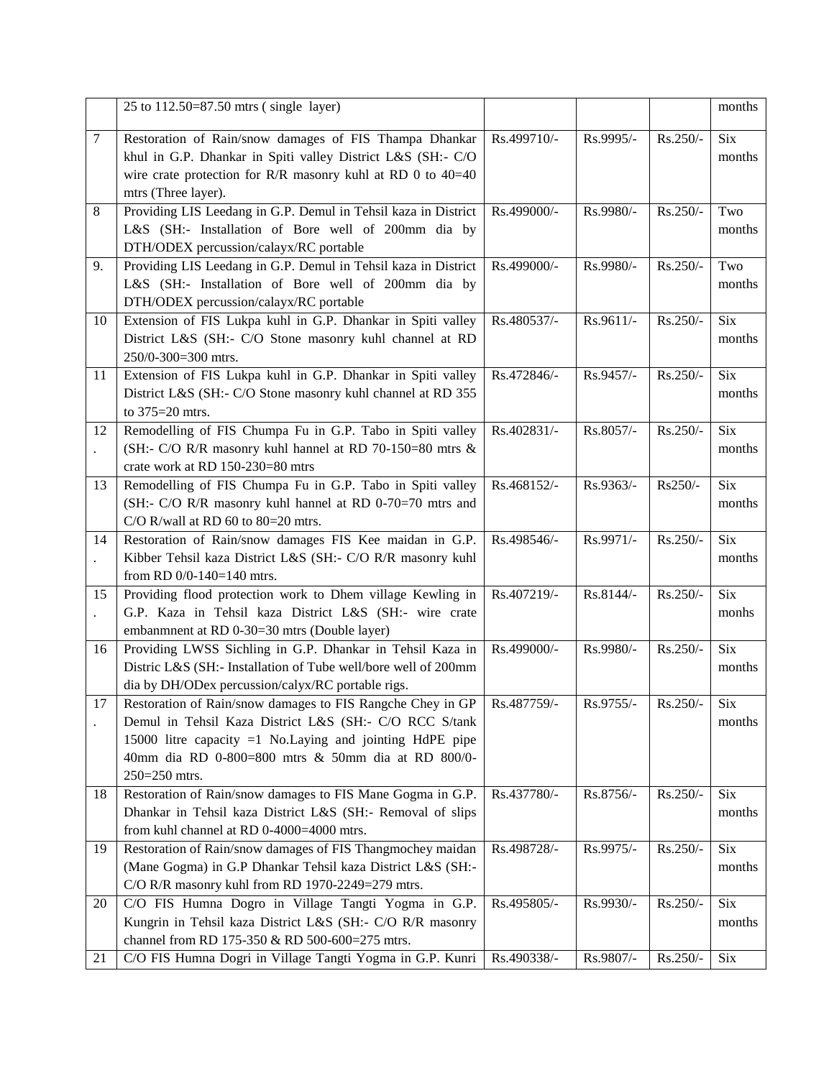|    | 25 to 112.50=87.50 mtrs (single layer)                                                                    |             |           |          | months     |
|----|-----------------------------------------------------------------------------------------------------------|-------------|-----------|----------|------------|
| 7  | Restoration of Rain/snow damages of FIS Thampa Dhankar                                                    | Rs.499710/- | Rs.9995/- | Rs.250/- | Six        |
|    | khul in G.P. Dhankar in Spiti valley District L&S (SH:- C/O                                               |             |           |          | months     |
|    | wire crate protection for R/R masonry kuhl at RD 0 to $40=40$                                             |             |           |          |            |
|    | mtrs (Three layer).                                                                                       |             |           |          |            |
| 8  | Providing LIS Leedang in G.P. Demul in Tehsil kaza in District                                            | Rs.499000/- | Rs.9980/- | Rs.250/- | Two        |
|    | L&S (SH:- Installation of Bore well of 200mm dia by                                                       |             |           |          | months     |
|    | DTH/ODEX percussion/calayx/RC portable                                                                    |             |           |          |            |
| 9. | Providing LIS Leedang in G.P. Demul in Tehsil kaza in District                                            | Rs.499000/- | Rs.9980/- | Rs.250/- | Two        |
|    | L&S (SH:- Installation of Bore well of 200mm dia by                                                       |             |           |          | months     |
|    | DTH/ODEX percussion/calayx/RC portable                                                                    |             |           |          |            |
| 10 | Extension of FIS Lukpa kuhl in G.P. Dhankar in Spiti valley                                               | Rs.480537/- | Rs.9611/- | Rs.250/- | Six        |
|    | District L&S (SH:- C/O Stone masonry kuhl channel at RD                                                   |             |           |          | months     |
|    | 250/0-300=300 mtrs.                                                                                       |             |           |          |            |
| 11 | Extension of FIS Lukpa kuhl in G.P. Dhankar in Spiti valley                                               | Rs.472846/- | Rs.9457/- | Rs.250/- | <b>Six</b> |
|    | District L&S (SH:- C/O Stone masonry kuhl channel at RD 355                                               |             |           |          | months     |
|    | to 375=20 mtrs.                                                                                           |             |           |          |            |
| 12 | Remodelling of FIS Chumpa Fu in G.P. Tabo in Spiti valley                                                 | Rs.402831/- | Rs.8057/- | Rs.250/- | <b>Six</b> |
|    | (SH:- C/O R/R masonry kuhl hannel at RD 70-150=80 mtrs &                                                  |             |           |          | months     |
|    | crate work at RD 150-230=80 mtrs                                                                          |             |           |          |            |
| 13 | Remodelling of FIS Chumpa Fu in G.P. Tabo in Spiti valley                                                 | Rs.468152/- | Rs.9363/- | Rs250/-  | <b>Six</b> |
|    | (SH:- C/O R/R masonry kuhl hannel at RD 0-70=70 mtrs and                                                  |             |           |          | months     |
|    | C/O R/wall at RD 60 to 80=20 mtrs.                                                                        |             |           |          |            |
| 14 | Restoration of Rain/snow damages FIS Kee maidan in G.P.                                                   | Rs.498546/- | Rs.9971/- | Rs.250/- | Six        |
|    | Kibber Tehsil kaza District L&S (SH:- C/O R/R masonry kuhl                                                |             |           |          | months     |
|    | from RD $0/0-140=140$ mtrs.                                                                               |             | Rs.8144/- |          | <b>Six</b> |
| 15 | Providing flood protection work to Dhem village Kewling in                                                | Rs.407219/- |           | Rs.250/- |            |
|    | G.P. Kaza in Tehsil kaza District L&S (SH:- wire crate                                                    |             |           |          | monhs      |
| 16 | embanmnent at RD 0-30=30 mtrs (Double layer)<br>Providing LWSS Sichling in G.P. Dhankar in Tehsil Kaza in | Rs.499000/- | Rs.9980/- | Rs.250/- | <b>Six</b> |
|    | Distric L&S (SH:- Installation of Tube well/bore well of 200mm                                            |             |           |          | months     |
|    | dia by DH/ODex percussion/calyx/RC portable rigs.                                                         |             |           |          |            |
| 17 | Restoration of Rain/snow damages to FIS Rangche Chey in GP                                                | Rs.487759/- | Rs.9755/- | Rs.250/- | <b>Six</b> |
|    | Demul in Tehsil Kaza District L&S (SH:- C/O RCC S/tank                                                    |             |           |          | months     |
|    | 15000 litre capacity $=1$ No. Laying and jointing HdPE pipe                                               |             |           |          |            |
|    | 40mm dia RD 0-800=800 mtrs & 50mm dia at RD 800/0-                                                        |             |           |          |            |
|    | 250=250 mtrs.                                                                                             |             |           |          |            |
| 18 | Restoration of Rain/snow damages to FIS Mane Gogma in G.P.                                                | Rs.437780/- | Rs.8756/- | Rs.250/- | Six        |
|    | Dhankar in Tehsil kaza District L&S (SH:- Removal of slips                                                |             |           |          | months     |
|    | from kuhl channel at RD 0-4000=4000 mtrs.                                                                 |             |           |          |            |
| 19 | Restoration of Rain/snow damages of FIS Thangmochey maidan                                                | Rs.498728/- | Rs.9975/- | Rs.250/- | Six        |
|    | (Mane Gogma) in G.P Dhankar Tehsil kaza District L&S (SH:-                                                |             |           |          | months     |
|    | C/O R/R masonry kuhl from RD 1970-2249=279 mtrs.                                                          |             |           |          |            |
| 20 | C/O FIS Humna Dogro in Village Tangti Yogma in G.P.                                                       | Rs.495805/- | Rs.9930/- | Rs.250/- | Six        |
|    | Kungrin in Tehsil kaza District L&S (SH:- C/O R/R masonry                                                 |             |           |          | months     |
|    | channel from RD 175-350 & RD 500-600=275 mtrs.                                                            |             |           |          |            |
| 21 | C/O FIS Humna Dogri in Village Tangti Yogma in G.P. Kunri                                                 | Rs.490338/- | Rs.9807/- | Rs.250/- | Six        |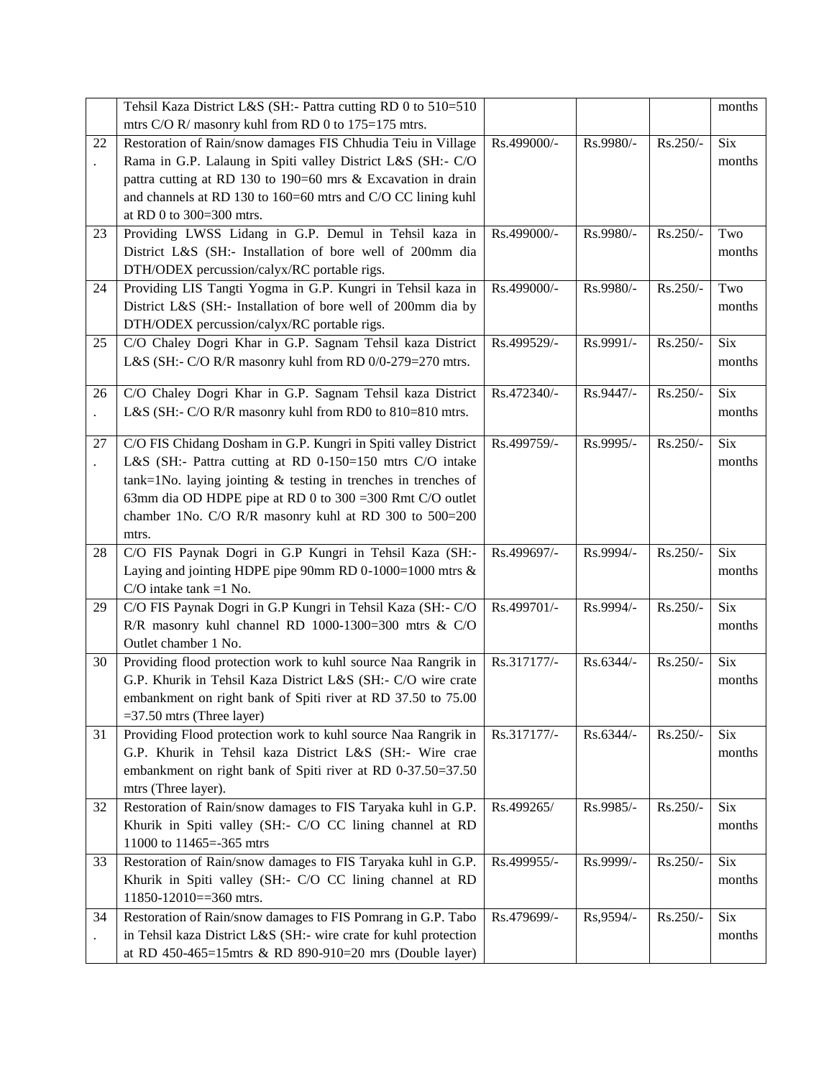|    | Tehsil Kaza District L&S (SH:- Pattra cutting RD 0 to 510=510       |             |           |          | months     |
|----|---------------------------------------------------------------------|-------------|-----------|----------|------------|
|    | mtrs C/O R/ masonry kuhl from RD 0 to 175=175 mtrs.                 |             |           |          |            |
| 22 | Restoration of Rain/snow damages FIS Chhudia Teiu in Village        | Rs.499000/- | Rs.9980/- | Rs.250/- | Six        |
|    | Rama in G.P. Lalaung in Spiti valley District L&S (SH:- C/O         |             |           |          | months     |
|    | pattra cutting at RD 130 to 190=60 mrs & Excavation in drain        |             |           |          |            |
|    | and channels at RD 130 to 160=60 mtrs and C/O CC lining kuhl        |             |           |          |            |
|    | at RD 0 to 300=300 mtrs.                                            |             |           |          |            |
| 23 | Providing LWSS Lidang in G.P. Demul in Tehsil kaza in               | Rs.499000/- | Rs.9980/- | Rs.250/- | Two        |
|    | District L&S (SH:- Installation of bore well of 200mm dia           |             |           |          | months     |
|    | DTH/ODEX percussion/calyx/RC portable rigs.                         |             |           |          |            |
| 24 | Providing LIS Tangti Yogma in G.P. Kungri in Tehsil kaza in         | Rs.499000/- | Rs.9980/- | Rs.250/- | Two        |
|    | District L&S (SH:- Installation of bore well of 200mm dia by        |             |           |          | months     |
|    | DTH/ODEX percussion/calyx/RC portable rigs.                         |             |           |          |            |
| 25 | C/O Chaley Dogri Khar in G.P. Sagnam Tehsil kaza District           | Rs.499529/- | Rs.9991/- | Rs.250/- | <b>Six</b> |
|    | L&S (SH:- C/O R/R masonry kuhl from RD 0/0-279=270 mtrs.            |             |           |          | months     |
|    |                                                                     |             |           |          |            |
| 26 | C/O Chaley Dogri Khar in G.P. Sagnam Tehsil kaza District           | Rs.472340/- | Rs.9447/- | Rs.250/- | <b>Six</b> |
|    | L&S (SH:- C/O R/R masonry kuhl from RD0 to 810=810 mtrs.            |             |           |          | months     |
|    |                                                                     |             |           |          |            |
| 27 | C/O FIS Chidang Dosham in G.P. Kungri in Spiti valley District      | Rs.499759/- | Rs.9995/- | Rs.250/- | <b>Six</b> |
|    | L&S (SH:- Pattra cutting at RD 0-150=150 mtrs C/O intake            |             |           |          | months     |
|    | $tank=1$ No. laying jointing $&$ testing in trenches in trenches of |             |           |          |            |
|    | 63mm dia OD HDPE pipe at RD 0 to 300 = 300 Rmt C/O outlet           |             |           |          |            |
|    | chamber 1No. C/O R/R masonry kuhl at RD 300 to 500=200              |             |           |          |            |
|    | mtrs.                                                               |             |           |          |            |
| 28 | C/O FIS Paynak Dogri in G.P Kungri in Tehsil Kaza (SH:-             | Rs.499697/- | Rs.9994/- | Rs.250/- | <b>Six</b> |
|    | Laying and jointing HDPE pipe 90mm RD 0-1000=1000 mtrs $\&$         |             |           |          | months     |
|    | $C/O$ intake tank =1 No.                                            |             |           |          |            |
| 29 | C/O FIS Paynak Dogri in G.P Kungri in Tehsil Kaza (SH:- C/O         | Rs.499701/- | Rs.9994/- | Rs.250/- | <b>Six</b> |
|    | R/R masonry kuhl channel RD 1000-1300=300 mtrs & C/O                |             |           |          | months     |
|    | Outlet chamber 1 No.                                                |             |           |          |            |
| 30 | Providing flood protection work to kuhl source Naa Rangrik in       | Rs.317177/- | Rs.6344/- | Rs.250/- | Six        |
|    | G.P. Khurik in Tehsil Kaza District L&S (SH:- C/O wire crate        |             |           |          | months     |
|    | embankment on right bank of Spiti river at RD 37.50 to 75.00        |             |           |          |            |
|    | $=37.50$ mtrs (Three layer)                                         |             |           |          |            |
| 31 | Providing Flood protection work to kuhl source Naa Rangrik in       | Rs.317177/- | Rs.6344/- | Rs.250/- | Six        |
|    | G.P. Khurik in Tehsil kaza District L&S (SH:- Wire crae             |             |           |          | months     |
|    | embankment on right bank of Spiti river at RD 0-37.50=37.50         |             |           |          |            |
|    | mtrs (Three layer).                                                 |             |           |          |            |
| 32 | Restoration of Rain/snow damages to FIS Taryaka kuhl in G.P.        | Rs.499265/  | Rs.9985/- | Rs.250/- | Six        |
|    | Khurik in Spiti valley (SH:- C/O CC lining channel at RD            |             |           |          | months     |
|    | 11000 to 11465=-365 mtrs                                            |             |           |          |            |
| 33 | Restoration of Rain/snow damages to FIS Taryaka kuhl in G.P.        | Rs.499955/- | Rs.9999/- | Rs.250/- | Six        |
|    | Khurik in Spiti valley (SH:- C/O CC lining channel at RD            |             |           |          | months     |
|    | 11850-12010==360 mtrs.                                              |             |           |          |            |
| 34 | Restoration of Rain/snow damages to FIS Pomrang in G.P. Tabo        | Rs.479699/- | Rs,9594/- | Rs.250/- | Six        |
|    | in Tehsil kaza District L&S (SH:- wire crate for kuhl protection    |             |           |          | months     |
|    | at RD 450-465=15mtrs & RD 890-910=20 mrs (Double layer)             |             |           |          |            |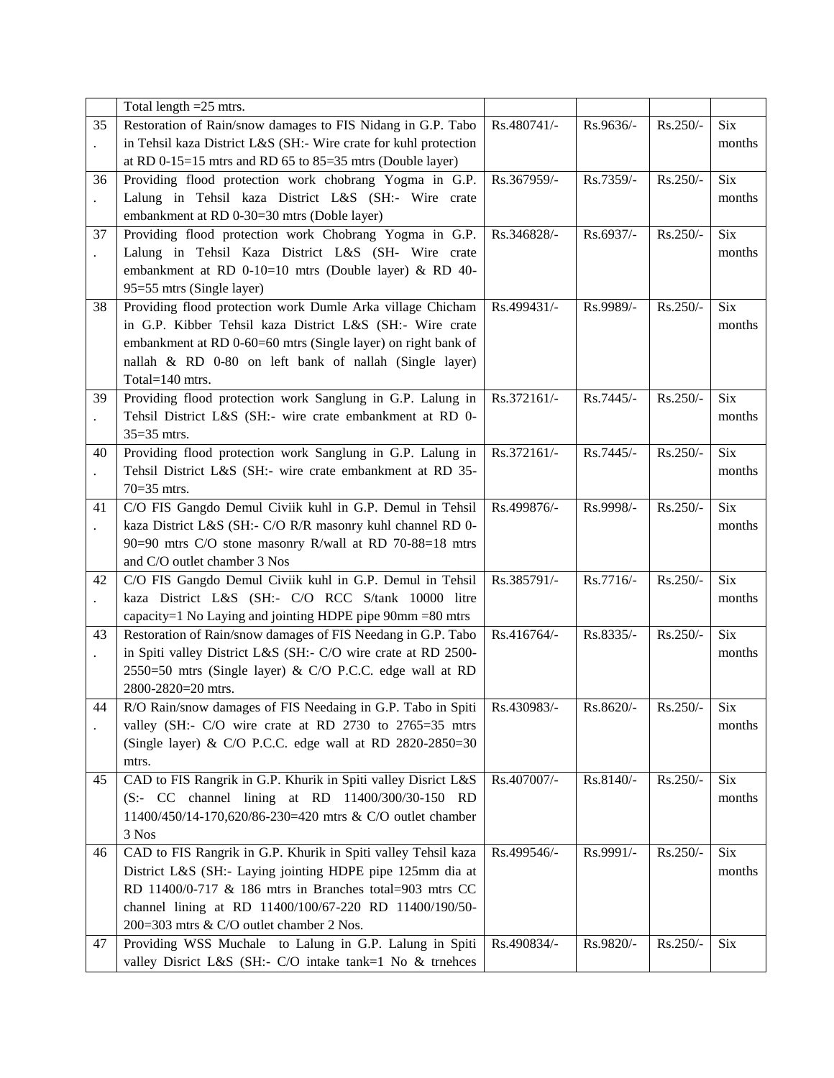|    | Total length = 25 mtrs.                                                      |             |           |          |            |
|----|------------------------------------------------------------------------------|-------------|-----------|----------|------------|
| 35 | Restoration of Rain/snow damages to FIS Nidang in G.P. Tabo                  | Rs.480741/- | Rs.9636/- | Rs.250/- | Six        |
|    | in Tehsil kaza District L&S (SH:- Wire crate for kuhl protection             |             |           |          | months     |
|    | at RD 0-15=15 mtrs and RD 65 to $85=35$ mtrs (Double layer)                  |             |           |          |            |
| 36 | Providing flood protection work chobrang Yogma in G.P.                       | Rs.367959/- | Rs.7359/- | Rs.250/- | <b>Six</b> |
|    | Lalung in Tehsil kaza District L&S (SH:- Wire crate                          |             |           |          | months     |
|    | embankment at RD 0-30=30 mtrs (Doble layer)                                  |             |           |          |            |
| 37 | Providing flood protection work Chobrang Yogma in G.P.                       | Rs.346828/- | Rs.6937/- | Rs.250/- | <b>Six</b> |
|    | Lalung in Tehsil Kaza District L&S (SH- Wire crate                           |             |           |          | months     |
|    | embankment at RD 0-10=10 mtrs (Double layer) & RD 40-                        |             |           |          |            |
|    | 95=55 mtrs (Single layer)                                                    |             |           |          |            |
| 38 | Providing flood protection work Dumle Arka village Chicham                   | Rs.499431/- | Rs.9989/- | Rs.250/- | <b>Six</b> |
|    | in G.P. Kibber Tehsil kaza District L&S (SH:- Wire crate                     |             |           |          | months     |
|    | embankment at RD 0-60=60 mtrs (Single layer) on right bank of                |             |           |          |            |
|    |                                                                              |             |           |          |            |
|    | nallah & RD 0-80 on left bank of nallah (Single layer)<br>Total=140 mtrs.    |             |           |          |            |
|    | Providing flood protection work Sanglung in G.P. Lalung in                   | Rs.372161/- | Rs.7445/- | Rs.250/- | <b>Six</b> |
| 39 |                                                                              |             |           |          |            |
|    | Tehsil District L&S (SH:- wire crate embankment at RD 0-                     |             |           |          | months     |
|    | $35=35$ mtrs.                                                                |             |           |          |            |
| 40 | Providing flood protection work Sanglung in G.P. Lalung in                   | Rs.372161/- | Rs.7445/- | Rs.250/- | <b>Six</b> |
|    | Tehsil District L&S (SH:- wire crate embankment at RD 35-                    |             |           |          | months     |
|    | $70=35$ mtrs.                                                                |             |           |          |            |
| 41 | C/O FIS Gangdo Demul Civiik kuhl in G.P. Demul in Tehsil                     | Rs.499876/- | Rs.9998/- | Rs.250/- | <b>Six</b> |
|    | kaza District L&S (SH:- C/O R/R masonry kuhl channel RD 0-                   |             |           |          | months     |
|    | 90=90 mtrs C/O stone masonry R/wall at RD 70-88=18 mtrs                      |             |           |          |            |
|    | and C/O outlet chamber 3 Nos                                                 |             |           |          |            |
| 42 | C/O FIS Gangdo Demul Civiik kuhl in G.P. Demul in Tehsil                     | Rs.385791/- | Rs.7716/- | Rs.250/- | Six        |
|    | kaza District L&S (SH:- C/O RCC S/tank 10000 litre                           |             |           |          | months     |
|    | capacity=1 No Laying and jointing HDPE pipe $90 \text{mm} = 80 \text{m}$ trs |             |           |          |            |
| 43 | Restoration of Rain/snow damages of FIS Needang in G.P. Tabo                 | Rs.416764/- | Rs.8335/- | Rs.250/- | <b>Six</b> |
|    | in Spiti valley District L&S (SH:- C/O wire crate at RD 2500-                |             |           |          | months     |
|    | 2550=50 mtrs (Single layer) & C/O P.C.C. edge wall at RD                     |             |           |          |            |
|    | 2800-2820=20 mtrs.                                                           |             |           |          |            |
| 44 | R/O Rain/snow damages of FIS Needaing in G.P. Tabo in Spiti   Rs.430983/-    |             | Rs.8620/- | Rs.250/- | Six        |
|    | valley (SH:- C/O wire crate at RD 2730 to 2765=35 mtrs                       |             |           |          | months     |
|    | (Single layer) & C/O P.C.C. edge wall at RD 2820-2850=30                     |             |           |          |            |
|    | mtrs.                                                                        |             |           |          |            |
| 45 | CAD to FIS Rangrik in G.P. Khurik in Spiti valley Disrict L&S                | Rs.407007/- | Rs.8140/- | Rs.250/- | <b>Six</b> |
|    | (S:- CC channel lining at RD 11400/300/30-150 RD                             |             |           |          | months     |
|    | 11400/450/14-170,620/86-230=420 mtrs & C/O outlet chamber                    |             |           |          |            |
|    | 3 Nos                                                                        |             |           |          |            |
| 46 | CAD to FIS Rangrik in G.P. Khurik in Spiti valley Tehsil kaza                | Rs.499546/- | Rs.9991/- | Rs.250/- | <b>Six</b> |
|    | District L&S (SH:- Laying jointing HDPE pipe 125mm dia at                    |             |           |          | months     |
|    | RD 11400/0-717 & 186 mtrs in Branches total=903 mtrs CC                      |             |           |          |            |
|    | channel lining at RD 11400/100/67-220 RD 11400/190/50-                       |             |           |          |            |
|    | 200=303 mtrs & C/O outlet chamber 2 Nos.                                     |             |           |          |            |
| 47 | Providing WSS Muchale to Lalung in G.P. Lalung in Spiti                      | Rs.490834/- | Rs.9820/- | Rs.250/- | Six        |
|    | valley Disrict L&S (SH:- C/O intake tank=1 No & trnehces                     |             |           |          |            |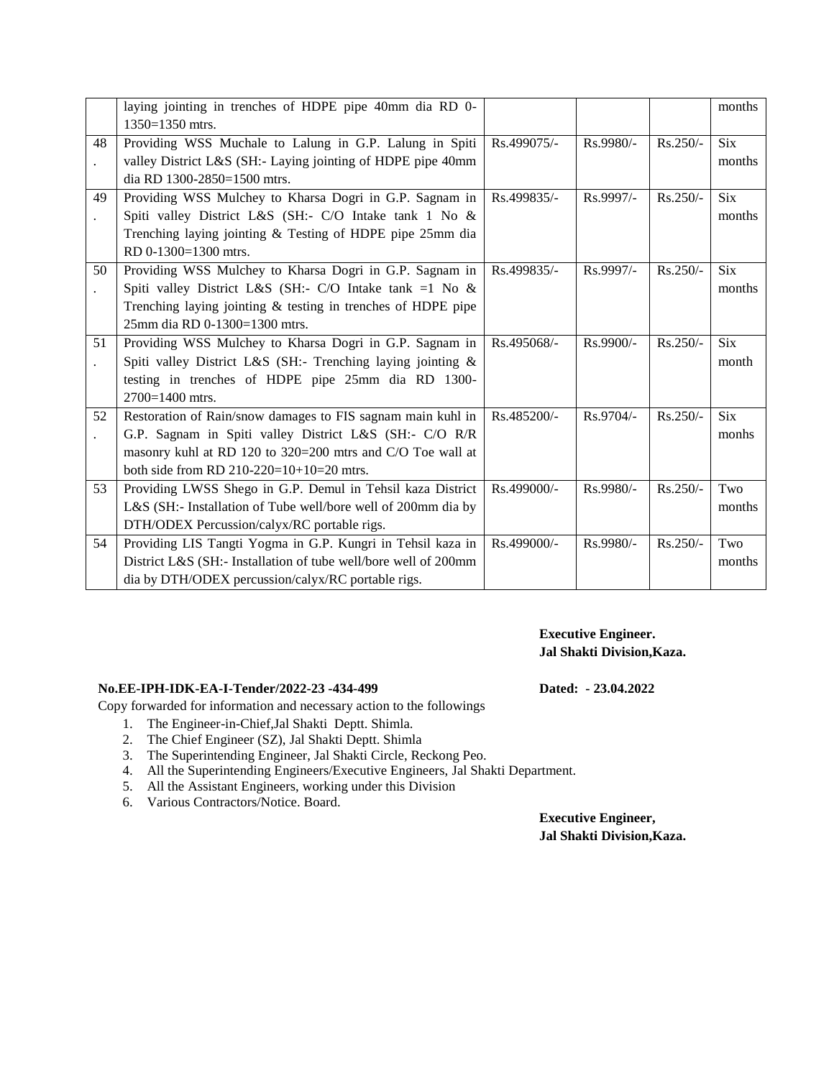|    | laying jointing in trenches of HDPE pipe 40mm dia RD 0-         |             |             |            | months     |
|----|-----------------------------------------------------------------|-------------|-------------|------------|------------|
|    | 1350=1350 mtrs.                                                 |             |             |            |            |
| 48 | Providing WSS Muchale to Lalung in G.P. Lalung in Spiti         | Rs.499075/- | $Rs.9980/-$ | $Rs.250/-$ | <b>Six</b> |
|    | valley District L&S (SH:- Laying jointing of HDPE pipe 40mm     |             |             |            | months     |
|    | dia RD 1300-2850=1500 mtrs.                                     |             |             |            |            |
| 49 | Providing WSS Mulchey to Kharsa Dogri in G.P. Sagnam in         | Rs.499835/- | $Rs.9997/-$ | $Rs.250/-$ | <b>Six</b> |
|    | Spiti valley District L&S (SH:- C/O Intake tank 1 No &          |             |             |            | months     |
|    | Trenching laying jointing & Testing of HDPE pipe 25mm dia       |             |             |            |            |
|    | RD 0-1300=1300 mtrs.                                            |             |             |            |            |
| 50 | Providing WSS Mulchey to Kharsa Dogri in G.P. Sagnam in         | Rs.499835/- | Rs.9997/-   | $Rs.250/-$ | <b>Six</b> |
|    | Spiti valley District L&S (SH:- C/O Intake tank =1 No &         |             |             |            | months     |
|    | Trenching laying jointing & testing in trenches of HDPE pipe    |             |             |            |            |
|    | 25mm dia RD 0-1300=1300 mtrs.                                   |             |             |            |            |
| 51 | Providing WSS Mulchey to Kharsa Dogri in G.P. Sagnam in         | Rs.495068/- | Rs.9900/-   | $Rs.250/-$ | <b>Six</b> |
|    | Spiti valley District L&S (SH:- Trenching laying jointing &     |             |             |            | month      |
|    | testing in trenches of HDPE pipe 25mm dia RD 1300-              |             |             |            |            |
|    | 2700=1400 mtrs.                                                 |             |             |            |            |
| 52 | Restoration of Rain/snow damages to FIS sagnam main kuhl in     | Rs.485200/- | $Rs.9704/-$ | $Rs.250/-$ | <b>Six</b> |
|    | G.P. Sagnam in Spiti valley District L&S (SH:- C/O R/R          |             |             |            | monhs      |
|    | masonry kuhl at RD 120 to 320=200 mtrs and C/O Toe wall at      |             |             |            |            |
|    | both side from RD 210-220=10+10=20 mtrs.                        |             |             |            |            |
| 53 | Providing LWSS Shego in G.P. Demul in Tehsil kaza District      | Rs.499000/- | Rs.9980/-   | $Rs.250/-$ | Two        |
|    | L&S (SH:- Installation of Tube well/bore well of 200mm dia by   |             |             |            | months     |
|    | DTH/ODEX Percussion/calyx/RC portable rigs.                     |             |             |            |            |
| 54 | Providing LIS Tangti Yogma in G.P. Kungri in Tehsil kaza in     | Rs.499000/- | Rs.9980/-   | Rs.250/-   | Two        |
|    | District L&S (SH:- Installation of tube well/bore well of 200mm |             |             |            | months     |
|    | dia by DTH/ODEX percussion/calyx/RC portable rigs.              |             |             |            |            |
|    |                                                                 |             |             |            |            |

**Executive Engineer. Jal Shakti Division,Kaza.**

## **No.EE-IPH-IDK-EA-I-Tender/2022-23 -434-499 Dated: - 23.04.2022**

Copy forwarded for information and necessary action to the followings

- 1. The Engineer-in-Chief,Jal Shakti Deptt. Shimla.
- 2. The Chief Engineer (SZ), Jal Shakti Deptt. Shimla
- 3. The Superintending Engineer, Jal Shakti Circle, Reckong Peo.
- 4. All the Superintending Engineers/Executive Engineers, Jal Shakti Department.
- 5. All the Assistant Engineers, working under this Division
- 6. Various Contractors/Notice. Board.

**Executive Engineer, Jal Shakti Division,Kaza.**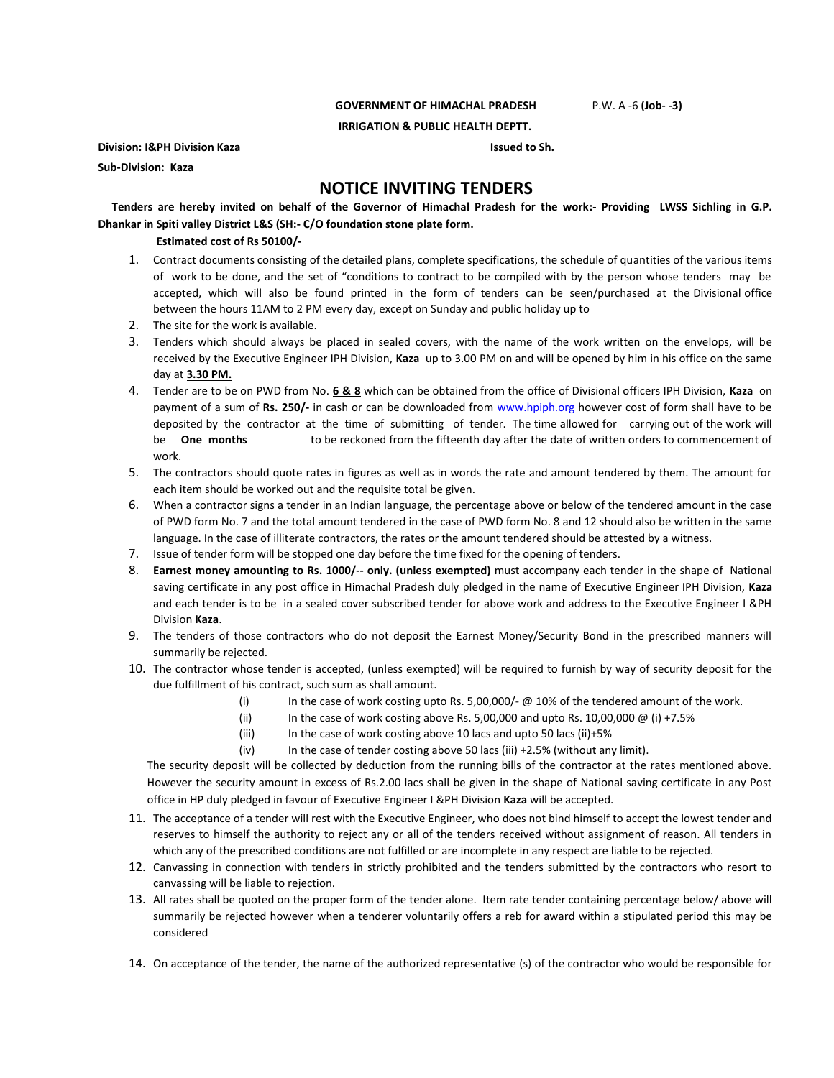#### **GOVERNMENT OF HIMACHAL PRADESH** P.W. A -6 **(Job- -3)**

**IRRIGATION & PUBLIC HEALTH DEPTT.**

**Division: I&PH Division Kaza Issued to Sh. Issued to Sh.** 

**Sub-Division: Kaza**

# **NOTICE INVITING TENDERS**

 **Tenders are hereby invited on behalf of the Governor of Himachal Pradesh for the work:- Providing LWSS Sichling in G.P. Dhankar in Spiti valley District L&S (SH:- C/O foundation stone plate form.**

### **Estimated cost of Rs 50100/-**

- 1. Contract documents consisting of the detailed plans, complete specifications, the schedule of quantities of the various items of work to be done, and the set of "conditions to contract to be compiled with by the person whose tenders may be accepted, which will also be found printed in the form of tenders can be seen/purchased at the Divisional office between the hours 11AM to 2 PM every day, except on Sunday and public holiday up to
- 2. The site for the work is available.
- 3. Tenders which should always be placed in sealed covers, with the name of the work written on the envelops, will be received by the Executive Engineer IPH Division, **Kaza** up to 3.00 PM on and will be opened by him in his office on the same day at **3.30 PM.**
- 4. Tender are to be on PWD from No. **6 & 8** which can be obtained from the office of Divisional officers IPH Division, **Kaza** on payment of a sum of **Rs. 250/-** in cash or can be downloaded from www.hpiph.org however cost of form shall have to be deposited by the contractor at the time of submitting of tender. The time allowed for carrying out of the work will be **One months** to be reckoned from the fifteenth day after the date of written orders to commencement of work.
- 5. The contractors should quote rates in figures as well as in words the rate and amount tendered by them. The amount for each item should be worked out and the requisite total be given.
- 6. When a contractor signs a tender in an Indian language, the percentage above or below of the tendered amount in the case of PWD form No. 7 and the total amount tendered in the case of PWD form No. 8 and 12 should also be written in the same language. In the case of illiterate contractors, the rates or the amount tendered should be attested by a witness.
- 7. Issue of tender form will be stopped one day before the time fixed for the opening of tenders.
- 8. **Earnest money amounting to Rs. 1000/-- only. (unless exempted)** must accompany each tender in the shape of National saving certificate in any post office in Himachal Pradesh duly pledged in the name of Executive Engineer IPH Division, **Kaza** and each tender is to be in a sealed cover subscribed tender for above work and address to the Executive Engineer I &PH Division **Kaza**.
- 9. The tenders of those contractors who do not deposit the Earnest Money/Security Bond in the prescribed manners will summarily be rejected.
- 10. The contractor whose tender is accepted, (unless exempted) will be required to furnish by way of security deposit for the due fulfillment of his contract, such sum as shall amount.
	- (i) In the case of work costing upto Rs. 5,00,000/- @ 10% of the tendered amount of the work.
	- (ii) In the case of work costing above Rs. 5,00,000 and upto Rs. 10,00,000  $\omega$  (i) +7.5%
	- (iii) In the case of work costing above 10 lacs and upto 50 lacs (ii)+5%
	- (iv) In the case of tender costing above 50 lacs (iii) +2.5% (without any limit).

The security deposit will be collected by deduction from the running bills of the contractor at the rates mentioned above. However the security amount in excess of Rs.2.00 lacs shall be given in the shape of National saving certificate in any Post office in HP duly pledged in favour of Executive Engineer I &PH Division **Kaza** will be accepted.

- 11. The acceptance of a tender will rest with the Executive Engineer, who does not bind himself to accept the lowest tender and reserves to himself the authority to reject any or all of the tenders received without assignment of reason. All tenders in which any of the prescribed conditions are not fulfilled or are incomplete in any respect are liable to be rejected.
- 12. Canvassing in connection with tenders in strictly prohibited and the tenders submitted by the contractors who resort to canvassing will be liable to rejection.
- 13. All rates shall be quoted on the proper form of the tender alone. Item rate tender containing percentage below/ above will summarily be rejected however when a tenderer voluntarily offers a reb for award within a stipulated period this may be considered
- 14. On acceptance of the tender, the name of the authorized representative (s) of the contractor who would be responsible for